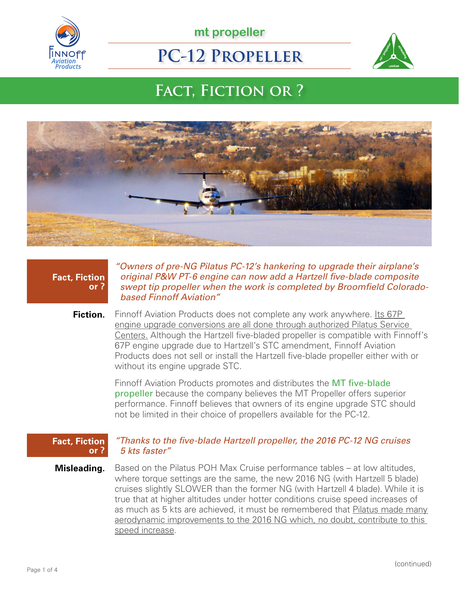

**mt propeller**

# **PC-12 Propeller**



# **Fact, Fiction or ?**



## **Fact, Fiction or ?**

*"Owners of pre-NG Pilatus PC-12's hankering to upgrade their airplane's original P&W PT-6 engine can now add a Hartzell five-blade composite swept tip propeller when the work is completed by Broomfield Coloradobased Finnoff Aviation"*

**Fiction.** Finnoff Aviation Products does not complete any work anywhere. Its 67P engine upgrade conversions are all done through authorized Pilatus Service Centers. Although the Hartzell five-bladed propeller is compatible with Finnoff's 67P engine upgrade due to Hartzell's STC amendment, Finnoff Aviation Products does not sell or install the Hartzell five-blade propeller either with or without its engine upgrade STC.

> Finnoff Aviation Products promotes and distributes the MT five-blade propeller because the company believes the MT Propeller offers superior performance. Finnoff believes that owners of its engine upgrade STC should not be limited in their choice of propellers available for the PC-12.

#### **Fact, Fiction or ?**

### *"Thanks to the five-blade Hartzell propeller, the 2016 PC-12 NG cruises 5 kts faster"*

**Misleading.** Based on the Pilatus POH Max Cruise performance tables – at low altitudes, where torque settings are the same, the new 2016 NG (with Hartzell 5 blade) cruises slightly SLOWER than the former NG (with Hartzell 4 blade). While it is true that at higher altitudes under hotter conditions cruise speed increases of as much as 5 kts are achieved, it must be remembered that Pilatus made many aerodynamic improvements to the 2016 NG which, no doubt, contribute to this speed increase.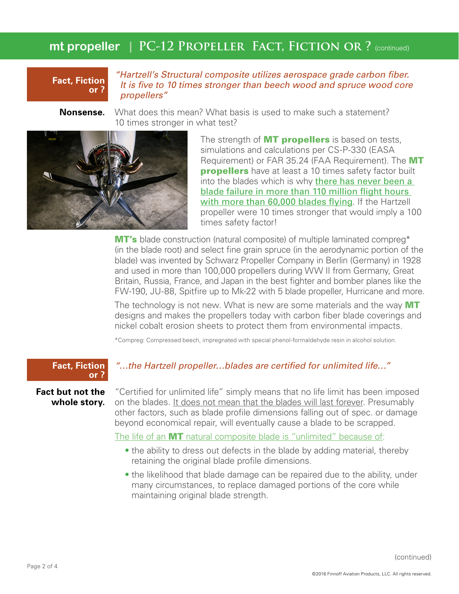# **mt propeller** | PC-12 PROPELLER FACT, FICTION OR ? (continued)

### **Fact, Fiction or ?**

*"Hartzell's Structural composite utilizes aerospace grade carbon fiber. It is five to 10 times stronger than beech wood and spruce wood core propellers"*

**Nonsense.** What does this mean? What basis is used to make such a statement? 10 times stronger in what test?



The strength of **MT propellers** is based on tests, simulations and calculations per CS-P-330 (EASA Requirement) or FAR 35.24 (FAA Requirement). The MT **propellers** have at least a 10 times safety factor built into the blades which is why there has never been a blade failure in more than 110 million flight hours with more than 60,000 blades flying. If the Hartzell propeller were 10 times stronger that would imply a 100 times safety factor!

MT's blade construction (natural composite) of multiple laminated compreg<sup>\*</sup> (in the blade root) and select fine grain spruce (in the aerodynamic portion of the blade) was invented by Schwarz Propeller Company in Berlin (Germany) in 1928 and used in more than 100,000 propellers during WW II from Germany, Great Britain, Russia, France, and Japan in the best fighter and bomber planes like the FW-190, JU-88, Spitfire up to Mk-22 with 5 blade propeller, Hurricane and more.

The technology is not new. What is new are some materials and the way MT designs and makes the propellers today with carbon fiber blade coverings and nickel cobalt erosion sheets to protect them from environmental impacts.

\*Compreg: Compressed beech, impregnated with special phenol-formaldehyde resin in alcohol solution.

#### **Fact, Fiction or ?**

**Fact but not the whole story.** *"…the Hartzell propeller…blades are certified for unlimited life…"*

"Certified for unlimited life" simply means that no life limit has been imposed on the blades. It does not mean that the blades will last forever. Presumably other factors, such as blade profile dimensions falling out of spec. or damage beyond economical repair, will eventually cause a blade to be scrapped.

The life of an **MT** natural composite blade is "unlimited" because of:

- the ability to dress out defects in the blade by adding material, thereby retaining the original blade profile dimensions.
- the likelihood that blade damage can be repaired due to the ability, under many circumstances, to replace damaged portions of the core while maintaining original blade strength.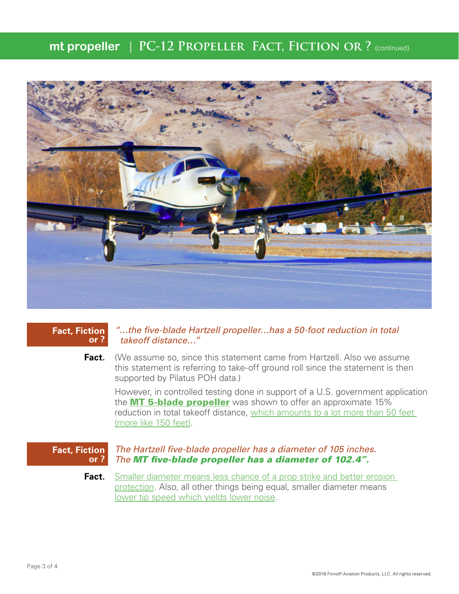## **mt propeller** | PC-12 PROPELLER FACT, FICTION OR ? (continued)



#### **Fact, Fiction or ?**

### *"…the five-blade Hartzell propeller…has a 50-foot reduction in total takeoff distance…"*

**Fact.** (We assume so, since this statement came from Hartzell. Also we assume this statement is referring to take-off ground roll since the statement is then supported by Pilatus POH data.)

However, in controlled testing done in support of a U.S. government application the **MT 5-blade propeller** was shown to offer an approximate 15% reduction in total takeoff distance, which amounts to a lot more than 50 feet (more like 150 feet).

#### **Fact, Fiction or ?** *The Hartzell five-blade propeller has a diameter of 105 inches. The MT five-blade propeller has a diameter of 102.4".*

**Fact.** Smaller diameter means less chance of a prop strike and better erosion protection. Also, all other things being equal, smaller diameter means lower tip speed which yields lower noise.